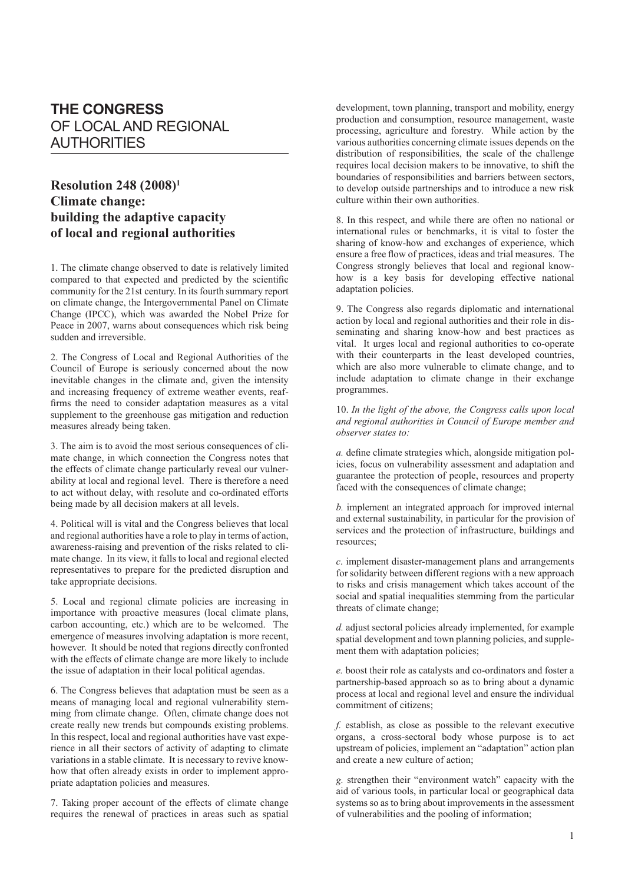## **THE CONGRESS** OF LOCAL AND REGIONAL AUTHORITIES

## **Resolution 248 (2008)1 Climate change: building the adaptive capacity of local and regional authorities**

1. The climate change observed to date is relatively limited compared to that expected and predicted by the scientific community for the 21st century. In its fourth summary report on climate change, the Intergovernmental Panel on Climate Change (IPCC), which was awarded the Nobel Prize for Peace in 2007, warns about consequences which risk being sudden and irreversible.

2. The Congress of Local and Regional Authorities of the Council of Europe is seriously concerned about the now inevitable changes in the climate and, given the intensity and increasing frequency of extreme weather events, reaffirms the need to consider adaptation measures as a vital supplement to the greenhouse gas mitigation and reduction measures already being taken.

3. The aim is to avoid the most serious consequences of climate change, in which connection the Congress notes that the effects of climate change particularly reveal our vulnerability at local and regional level. There is therefore a need to act without delay, with resolute and co-ordinated efforts being made by all decision makers at all levels.

4. Political will is vital and the Congress believes that local and regional authorities have a role to play in terms of action, awareness-raising and prevention of the risks related to climate change. In its view, it falls to local and regional elected representatives to prepare for the predicted disruption and take appropriate decisions.

5. Local and regional climate policies are increasing in importance with proactive measures (local climate plans, carbon accounting, etc.) which are to be welcomed. The emergence of measures involving adaptation is more recent, however. It should be noted that regions directly confronted with the effects of climate change are more likely to include the issue of adaptation in their local political agendas.

6. The Congress believes that adaptation must be seen as a means of managing local and regional vulnerability stemming from climate change. Often, climate change does not create really new trends but compounds existing problems. In this respect, local and regional authorities have vast experience in all their sectors of activity of adapting to climate variations in a stable climate. It is necessary to revive knowhow that often already exists in order to implement appropriate adaptation policies and measures.

7. Taking proper account of the effects of climate change requires the renewal of practices in areas such as spatial development, town planning, transport and mobility, energy production and consumption, resource management, waste processing, agriculture and forestry. While action by the various authorities concerning climate issues depends on the distribution of responsibilities, the scale of the challenge requires local decision makers to be innovative, to shift the boundaries of responsibilities and barriers between sectors, to develop outside partnerships and to introduce a new risk culture within their own authorities.

8. In this respect, and while there are often no national or international rules or benchmarks, it is vital to foster the sharing of know-how and exchanges of experience, which ensure a free flow of practices, ideas and trial measures. The Congress strongly believes that local and regional knowhow is a key basis for developing effective national adaptation policies.

9. The Congress also regards diplomatic and international action by local and regional authorities and their role in disseminating and sharing know-how and best practices as vital. It urges local and regional authorities to co-operate with their counterparts in the least developed countries, which are also more vulnerable to climate change, and to include adaptation to climate change in their exchange programmes.

10. *In the light of the above, the Congress calls upon local and regional authorities in Council of Europe member and observer states to:*

*a.* define climate strategies which, alongside mitigation policies, focus on vulnerability assessment and adaptation and guarantee the protection of people, resources and property faced with the consequences of climate change;

*b.* implement an integrated approach for improved internal and external sustainability, in particular for the provision of services and the protection of infrastructure, buildings and resources;

*c*. implement disaster-management plans and arrangements for solidarity between different regions with a new approach to risks and crisis management which takes account of the social and spatial inequalities stemming from the particular threats of climate change;

*d.* adjust sectoral policies already implemented, for example spatial development and town planning policies, and supplement them with adaptation policies;

*e.* boost their role as catalysts and co-ordinators and foster a partnership-based approach so as to bring about a dynamic process at local and regional level and ensure the individual commitment of citizens;

*f.* establish, as close as possible to the relevant executive organs, a cross-sectoral body whose purpose is to act upstream of policies, implement an "adaptation" action plan and create a new culture of action;

*g.* strengthen their "environment watch" capacity with the aid of various tools, in particular local or geographical data systems so as to bring about improvements in the assessment of vulnerabilities and the pooling of information;